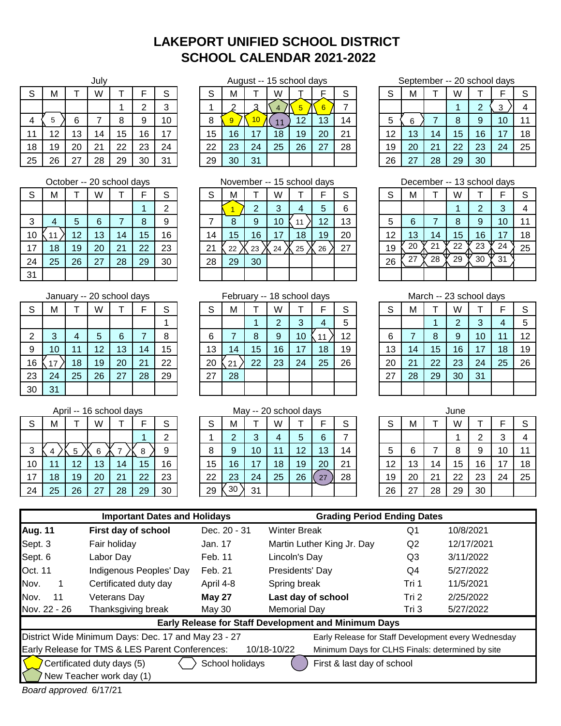## **LAKEPORT UNIFIED SCHOOL DISTRICT SCHOOL CALENDAR 2021-2022**

|    |    |    | July |    |    |    |    |    | August -- |
|----|----|----|------|----|----|----|----|----|-----------|
| S  | М  |    | W    |    | F  | S  | S  | м  |           |
|    |    |    |      |    | 2  | 3  |    | ົ  |           |
| 4  | 5  | 6  |      | 8  | 9  | 10 | 8  | 9  | 10        |
| 11 | 12 | 13 | 14   | 15 | 16 | 17 | 15 | 16 | 17        |
| 18 | 19 | 20 | 21   | 22 | 23 | 24 | 22 | 23 | 24        |
| 25 | 26 | 27 | 28   | 29 | 30 | 31 | 29 | 30 | 31        |

|    | October -- 20 school days |    |    |    |    |    |  |  |  |  |  |  |  |
|----|---------------------------|----|----|----|----|----|--|--|--|--|--|--|--|
| S  | M                         | т  | W  |    | F  | S  |  |  |  |  |  |  |  |
|    |                           |    |    |    |    | 2  |  |  |  |  |  |  |  |
| 3  | 4                         | 5  | 6  | 7  | 8  | 9  |  |  |  |  |  |  |  |
| 10 | 11                        | 12 | 13 | 14 | 15 | 16 |  |  |  |  |  |  |  |
| 17 | 18                        | 19 | 20 | 21 | 22 | 23 |  |  |  |  |  |  |  |
| 24 | 25                        | 26 | 27 | 28 | 29 | 30 |  |  |  |  |  |  |  |
| 31 |                           |    |    |    |    |    |  |  |  |  |  |  |  |

|    |    |    |    | January -- 20 school days |    |    | Febru |    |  |
|----|----|----|----|---------------------------|----|----|-------|----|--|
| S  | М  |    | W  |                           | F  | S  | S     | М  |  |
|    |    |    |    |                           |    |    |       |    |  |
| 2  | 3  |    | 5  | 6                         |    | 8  | 6     |    |  |
| 9  | 10 | 11 | 12 | 13                        | 14 | 15 | 13    | 14 |  |
| 16 | 17 | 18 | 19 | 20                        | 21 | 22 | 20    | 21 |  |
| 23 | 24 | 25 | 26 | 27                        | 28 | 29 | 27    | 28 |  |
| 30 | 31 |    |    |                           |    |    |       |    |  |

|    | April -- 16 school days |    |    |    |    |    |  |  |  |  |  |  |  |
|----|-------------------------|----|----|----|----|----|--|--|--|--|--|--|--|
| S  | M                       |    | W  |    | F  | S  |  |  |  |  |  |  |  |
|    |                         |    |    |    |    | 2  |  |  |  |  |  |  |  |
| 3  | 4                       | 5  | 6  |    | 8  | 9  |  |  |  |  |  |  |  |
| 10 |                         | 12 | 13 | 14 | 15 | 16 |  |  |  |  |  |  |  |
| 17 | 18                      | 19 | 20 | 21 | 22 | 23 |  |  |  |  |  |  |  |
| 24 | 25                      | 26 | 27 | 28 | 29 | 30 |  |  |  |  |  |  |  |

| S  | M  |    | W  |    |    | S  | c<br>ٮ | M               |    | W  |    |    | $\sim$ | S  | м  |    | W  |    |    | S  |
|----|----|----|----|----|----|----|--------|-----------------|----|----|----|----|--------|----|----|----|----|----|----|----|
|    |    |    |    |    |    | 3  |        | $\sim$          | ⌒  |    |    |    |        |    |    |    |    |    |    |    |
| 4  |    |    |    |    |    | 10 |        |                 | 10 | 11 | 12 | 13 | 14     | 5  |    |    | 8  | a  | 10 | 11 |
| 11 | 12 | 13 | 14 | 15 | 16 | 17 | 15     | 16              | 17 | 18 | 19 | 20 | 21     | 12 | 13 | 14 | 15 | 16 | 17 | 18 |
| 18 | 19 | 20 | 21 | 22 | 23 | 24 | 22     | 23              | 24 | 25 | 26 | 27 | 28     | 19 | 20 | 21 | 22 | 23 | 24 | 25 |
| 25 | 26 | 27 | 28 | 29 | 30 | 31 | 29     | 30 <sup>°</sup> | 31 |    |    |    |        | 26 | 27 | 28 | 29 | 30 |    |    |

|    |    |    | October -- 20 school days |    |    |    | November -- 15 school days |    |    |    |    |                 | December -- 13 school days |        |    |    |    |    |     |    |
|----|----|----|---------------------------|----|----|----|----------------------------|----|----|----|----|-----------------|----------------------------|--------|----|----|----|----|-----|----|
| S  | M  |    | W                         |    |    | S  |                            | M  |    | W  |    |                 |                            | c<br>C | м  |    | W  |    |     |    |
|    |    |    |                           |    |    | ◠  |                            |    |    |    |    | 5               | հ                          |        |    |    |    |    |     |    |
| 3  |    |    | 6                         |    |    | 9  |                            | 8  | 9  | 10 |    | 12              | 13                         | 5      |    |    | 8  |    | 10  |    |
| 10 |    | 12 | 13                        | 14 | 15 | 16 | 14                         | 15 | 16 |    | 18 | 19 <sup>°</sup> | 20                         | 12     | 13 | 14 | 15 | 16 |     | 18 |
| 17 | 18 | 19 | 20                        | 21 | 22 | 23 | ິ<br>∠                     | 22 | 23 | 24 | 25 | 26              | 27                         | 19     | 20 | 21 | 22 | 23 | 24  | 25 |
| 24 | 25 | 26 | 27                        | 28 | 29 | 30 | 28                         | 29 | 30 |    |    |                 |                            | 26     |    | 28 | 29 | 30 | -31 |    |
| 31 |    |    |                           |    |    |    |                            |    |    |    |    |                 |                            |        |    |    |    |    |     |    |

S | M | T | W | T | F | S | | S | M | T | W | T | F | S | | S | M | T | W | T | F | S 1 | | | | 1 | 2 | 3 | 4 | 5 | | | | | | | 1 | 2 | 3 | 4 | 5 2 3 4 5 6 7 8 6 7 8 6 7 8 9 10 11 12 6 7 8 9 10 11 12 9 | 10 | 11 | 12 | 13 | 14 | 15 | | 13 | 14 | 15 | 16 | 17 | 18 | 19 | | 13 | 14 | 15 | 16 | 17 | 18 | 19 16 18 19 20 21 22 20 22 23 24 25 26 20 21 22 23 24 25 26 23 | 24 | 25 | 26 | 27 | 28 | 29 | | 27 | 28 | | | | | | | | | 27 | 28 | 29 | 30 | 31 February -- 18 school days  $\frac{11}{18}$ 

|    |    |    |    | April -- 16 school days |    |        |        |    |        | May -- 20 school days |    |               |    |    |     |    | June |    |    |    |
|----|----|----|----|-------------------------|----|--------|--------|----|--------|-----------------------|----|---------------|----|----|-----|----|------|----|----|----|
| S  | м  |    | W  |                         |    | c<br>ত | $\sim$ | M  |        | W                     |    |               | ⌒  | S  | М   |    | W    |    |    | S  |
|    |    |    |    |                         |    | റ      |        |    | ົ<br>ື |                       | b  | 6             |    |    |     |    |      |    |    |    |
| 3  |    |    |    |                         |    | 9      |        | 9  | 10     |                       | 12 | 13            | 14 | 5  |     |    | 8    |    | 10 |    |
| 10 | -1 | 12 | 13 | 14                      | 15 | 16     | 15     | 16 | 17     | 18                    | 19 | 20            | 21 | 12 | 13  | 14 | 15   | 16 |    | 18 |
| 17 | 18 | 19 | 20 | 21                      | 22 | 23     | 22     | 23 | 24     | 25                    | 26 | $\mathcal{L}$ | 28 | 19 | 20  | 21 | 22   | 23 | 24 | 25 |
| 24 | 25 | 26 | 27 | 28                      | 29 | 30     | 29     | 30 | 31     |                       |    |               |    | 26 | . . | 28 | 29   | 30 |    |    |

August -- 15 school days September -- 20 school days

| .−ט |    |    |    |    |    |    |    |    |    |    |                 |    |
|-----|----|----|----|----|----|----|----|----|----|----|-----------------|----|
| Μ   |    |    |    |    | ິ  |    | М  |    | W  |    |                 |    |
| ◠   | ◠  |    |    |    |    |    |    |    |    |    | ີ               |    |
| 9   |    |    | 12 | 13 | 14 |    | 6  |    |    |    | 10              |    |
| 16  | 17 | 18 | 19 | 20 | 21 | 12 | 13 | 14 | 15 | 16 | $\overline{17}$ | 18 |
| 23  | 24 | 25 | 26 | 27 | 28 | 19 | 20 | 21 | 22 | 23 | 24              | 25 |
| 30  | 21 |    |    |    |    |    |    | 28 | 29 | 30 |                 |    |

|    | December -- 13 school days |    |    |    |    |    |  |  |  |  |  |  |
|----|----------------------------|----|----|----|----|----|--|--|--|--|--|--|
| S  | М                          |    | W  |    | F  | S  |  |  |  |  |  |  |
|    |                            |    |    | 2  | 3  |    |  |  |  |  |  |  |
| 5  | 6                          |    | 8  | 9  | 10 |    |  |  |  |  |  |  |
| 12 | 13                         | 14 | 15 | 16 | 17 | 18 |  |  |  |  |  |  |
| 19 | 20                         | 21 | 22 | 23 | 24 | 25 |  |  |  |  |  |  |
| 26 | 27                         | 28 | 29 | 30 | 31 |    |  |  |  |  |  |  |
|    |                            |    |    |    |    |    |  |  |  |  |  |  |

| March -- 23 school days            |    |    |                |    |    |    |  |  |  |  |  |  |
|------------------------------------|----|----|----------------|----|----|----|--|--|--|--|--|--|
| S<br>S<br>F<br>М<br>W              |    |    |                |    |    |    |  |  |  |  |  |  |
|                                    |    |    | $\overline{2}$ | 3  | 4  | 5  |  |  |  |  |  |  |
| 12<br>6<br>7<br>8<br>9<br>10<br>11 |    |    |                |    |    |    |  |  |  |  |  |  |
| 13                                 | 14 | 15 | 16             | 17 | 18 | 19 |  |  |  |  |  |  |
| 20                                 | 21 | 22 | 23             | 24 | 25 | 26 |  |  |  |  |  |  |
| 27                                 | 28 | 29 | 30             | 31 |    |    |  |  |  |  |  |  |
|                                    |    |    |                |    |    |    |  |  |  |  |  |  |

|    |    |    | June |    |    |    |
|----|----|----|------|----|----|----|
| S  | M  |    | W    |    | F  | S  |
|    |    |    |      | 2  | 3  |    |
| 5  | 6  |    | 8    | 9  | 10 | 11 |
| 12 | 13 | 14 | 15   | 16 | 17 | 18 |
| 19 | 20 | 21 | 22   | 23 | 24 | 25 |
| 26 | 27 | 28 | 29   | 30 |    |    |

|                | <b>Important Dates and Holidays</b>                                                                                |               | <b>Grading Period Ending Dates</b>                   |                |                                                     |  |  |  |  |  |  |
|----------------|--------------------------------------------------------------------------------------------------------------------|---------------|------------------------------------------------------|----------------|-----------------------------------------------------|--|--|--|--|--|--|
| <b>Aug. 11</b> | First day of school                                                                                                | Dec. 20 - 31  | <b>Winter Break</b>                                  | Q1             | 10/8/2021                                           |  |  |  |  |  |  |
| Sept. 3        | Fair holiday                                                                                                       | Jan. 17       | Martin Luther King Jr. Day                           | Q <sub>2</sub> | 12/17/2021                                          |  |  |  |  |  |  |
| Sept. 6        | Labor Day                                                                                                          | Feb. 11       | Lincoln's Day                                        | Q3             | 3/11/2022                                           |  |  |  |  |  |  |
| Oct. 11        | Indigenous Peoples' Day                                                                                            | Feb. 21       | Presidents' Day                                      | Q4             | 5/27/2022                                           |  |  |  |  |  |  |
| Nov.           | Certificated duty day                                                                                              | April 4-8     | Spring break                                         | Tri 1          | 11/5/2021                                           |  |  |  |  |  |  |
| Nov.<br>11     | Veterans Day                                                                                                       | <b>May 27</b> | Last day of school                                   | 2/25/2022      |                                                     |  |  |  |  |  |  |
| Nov. 22 - 26   | Thanksgiving break                                                                                                 | May 30        | Memorial Day                                         | Tri 3          | 5/27/2022                                           |  |  |  |  |  |  |
|                |                                                                                                                    |               | Early Release for Staff Development and Minimum Days |                |                                                     |  |  |  |  |  |  |
|                | District Wide Minimum Days: Dec. 17 and May 23 - 27                                                                |               |                                                      |                | Early Release for Staff Development every Wednesday |  |  |  |  |  |  |
|                | Early Release for TMS & LES Parent Conferences:<br>10/18-10/22<br>Minimum Days for CLHS Finals: determined by site |               |                                                      |                |                                                     |  |  |  |  |  |  |
|                | Certificated duty days (5)<br>School holidays<br>First & last day of school<br>New Teacher work day (1)            |               |                                                      |                |                                                     |  |  |  |  |  |  |

*Board approved:* 6/17/21